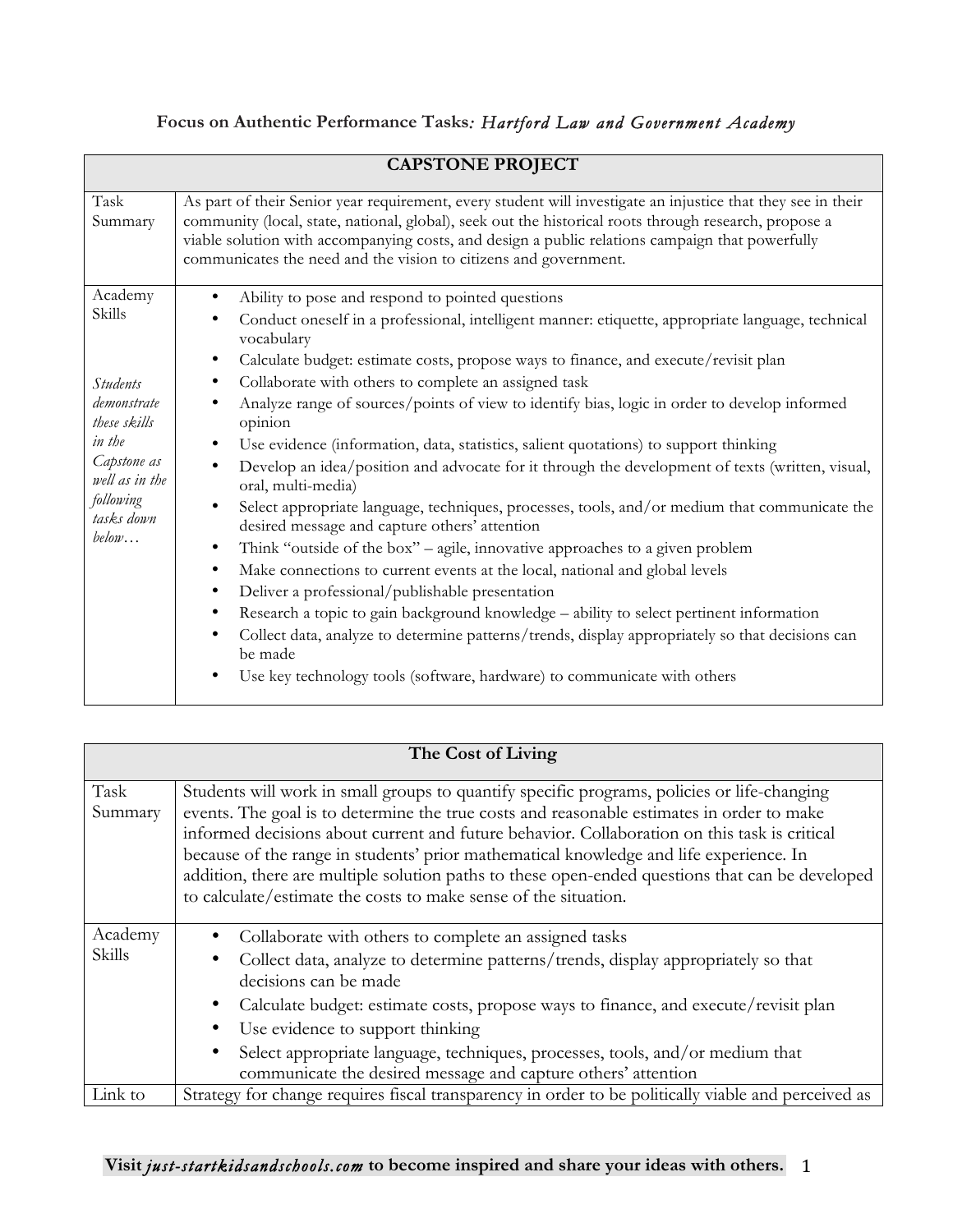|                                                          | <b>CAPSTONE PROJECT</b>                                                                                                                                                                                                                                                                                                                                                                      |
|----------------------------------------------------------|----------------------------------------------------------------------------------------------------------------------------------------------------------------------------------------------------------------------------------------------------------------------------------------------------------------------------------------------------------------------------------------------|
| Task<br>Summary                                          | As part of their Senior year requirement, every student will investigate an injustice that they see in their<br>community (local, state, national, global), seek out the historical roots through research, propose a<br>viable solution with accompanying costs, and design a public relations campaign that powerfully<br>communicates the need and the vision to citizens and government. |
| Academy                                                  | Ability to pose and respond to pointed questions<br>$\bullet$                                                                                                                                                                                                                                                                                                                                |
| Skills                                                   | Conduct oneself in a professional, intelligent manner: etiquette, appropriate language, technical<br>٠<br>vocabulary                                                                                                                                                                                                                                                                         |
|                                                          | Calculate budget: estimate costs, propose ways to finance, and execute/revisit plan<br>٠                                                                                                                                                                                                                                                                                                     |
| <b>Students</b><br>demonstrate<br>these skills           | Collaborate with others to complete an assigned task<br>$\bullet$                                                                                                                                                                                                                                                                                                                            |
|                                                          | Analyze range of sources/points of view to identify bias, logic in order to develop informed<br>opinion                                                                                                                                                                                                                                                                                      |
| in the                                                   | Use evidence (information, data, statistics, salient quotations) to support thinking<br>$\bullet$                                                                                                                                                                                                                                                                                            |
| Capstone as<br>well as in the<br>following<br>tasks down | Develop an idea/position and advocate for it through the development of texts (written, visual,<br>$\bullet$<br>oral, multi-media)                                                                                                                                                                                                                                                           |
|                                                          | Select appropriate language, techniques, processes, tools, and/or medium that communicate the<br>$\bullet$<br>desired message and capture others' attention                                                                                                                                                                                                                                  |
| below                                                    | Think "outside of the box" - agile, innovative approaches to a given problem<br>$\bullet$                                                                                                                                                                                                                                                                                                    |
|                                                          | Make connections to current events at the local, national and global levels<br>$\bullet$                                                                                                                                                                                                                                                                                                     |
|                                                          | Deliver a professional/publishable presentation<br>$\bullet$                                                                                                                                                                                                                                                                                                                                 |
|                                                          | Research a topic to gain background knowledge - ability to select pertinent information<br>$\bullet$                                                                                                                                                                                                                                                                                         |
|                                                          | Collect data, analyze to determine patterns/trends, display appropriately so that decisions can<br>٠<br>be made                                                                                                                                                                                                                                                                              |
|                                                          | Use key technology tools (software, hardware) to communicate with others                                                                                                                                                                                                                                                                                                                     |

## **Focus on Authentic Performance Tasks***: Hartford Law and Government Academy*

|                   | The Cost of Living                                                                                                                                                                                                                                                                                                                                                                                                                                                                                                                                       |
|-------------------|----------------------------------------------------------------------------------------------------------------------------------------------------------------------------------------------------------------------------------------------------------------------------------------------------------------------------------------------------------------------------------------------------------------------------------------------------------------------------------------------------------------------------------------------------------|
| Task<br>Summary   | Students will work in small groups to quantify specific programs, policies or life-changing<br>events. The goal is to determine the true costs and reasonable estimates in order to make<br>informed decisions about current and future behavior. Collaboration on this task is critical<br>because of the range in students' prior mathematical knowledge and life experience. In<br>addition, there are multiple solution paths to these open-ended questions that can be developed<br>to calculate/estimate the costs to make sense of the situation. |
| Academy<br>Skills | Collaborate with others to complete an assigned tasks<br>Collect data, analyze to determine patterns/trends, display appropriately so that<br>decisions can be made<br>Calculate budget: estimate costs, propose ways to finance, and execute/revisit plan<br>Use evidence to support thinking<br>Select appropriate language, techniques, processes, tools, and/or medium that<br>$\bullet$<br>communicate the desired message and capture others' attention                                                                                            |
| Link to           | Strategy for change requires fiscal transparency in order to be politically viable and perceived as                                                                                                                                                                                                                                                                                                                                                                                                                                                      |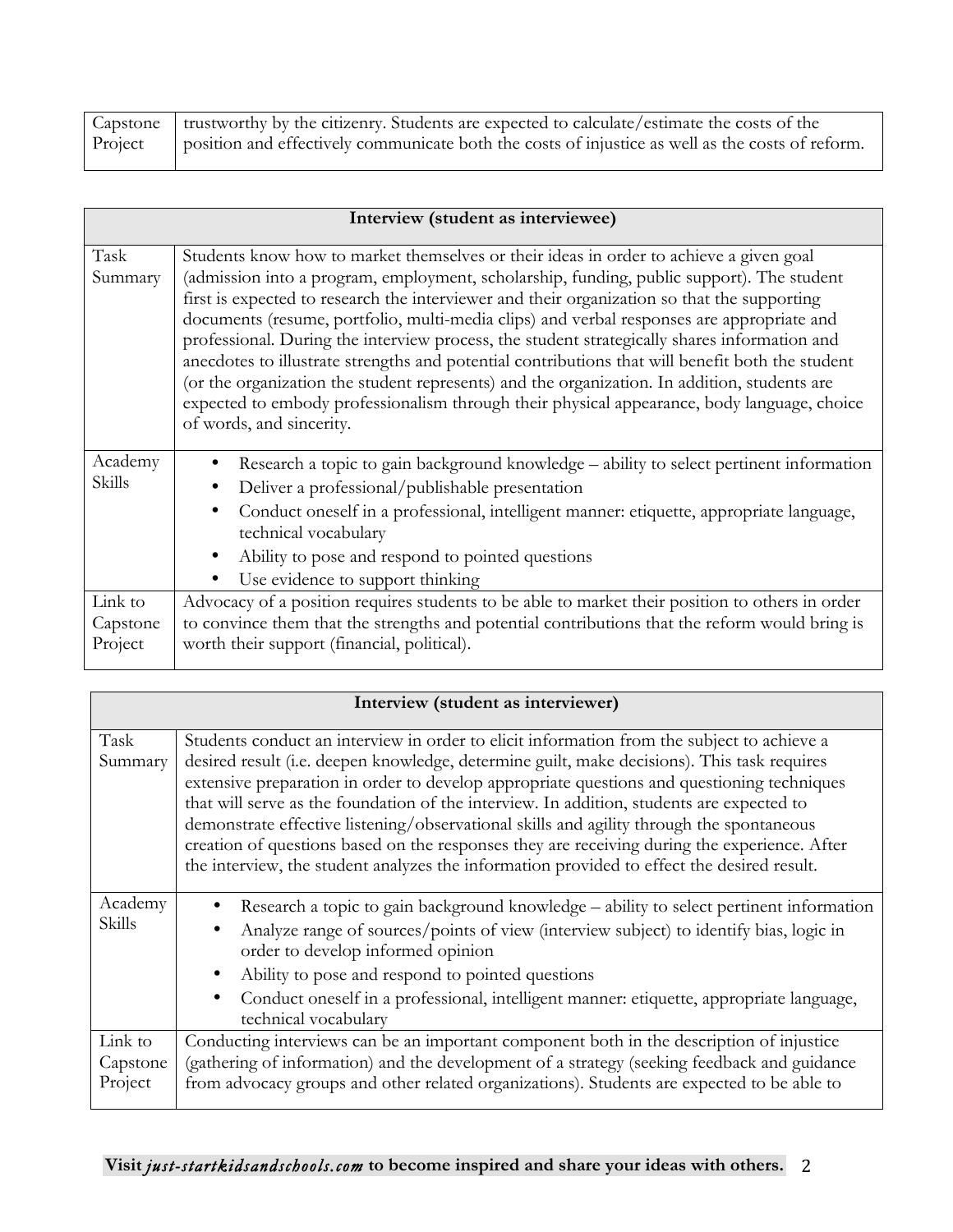|         | Capstone   trustworthy by the citizenry. Students are expected to calculate/estimate the costs of the |
|---------|-------------------------------------------------------------------------------------------------------|
| Project | position and effectively communicate both the costs of injustice as well as the costs of reform.      |
|         |                                                                                                       |

|                                | Interview (student as interviewee)                                                                                                                                                                                                                                                                                                                                                                                                                                                                                                                                                                                                                                                                                                                                                                             |
|--------------------------------|----------------------------------------------------------------------------------------------------------------------------------------------------------------------------------------------------------------------------------------------------------------------------------------------------------------------------------------------------------------------------------------------------------------------------------------------------------------------------------------------------------------------------------------------------------------------------------------------------------------------------------------------------------------------------------------------------------------------------------------------------------------------------------------------------------------|
| Task<br>Summary                | Students know how to market themselves or their ideas in order to achieve a given goal<br>(admission into a program, employment, scholarship, funding, public support). The student<br>first is expected to research the interviewer and their organization so that the supporting<br>documents (resume, portfolio, multi-media clips) and verbal responses are appropriate and<br>professional. During the interview process, the student strategically shares information and<br>anecdotes to illustrate strengths and potential contributions that will benefit both the student<br>(or the organization the student represents) and the organization. In addition, students are<br>expected to embody professionalism through their physical appearance, body language, choice<br>of words, and sincerity. |
| Academy<br>Skills              | Research a topic to gain background knowledge – ability to select pertinent information<br>Deliver a professional/publishable presentation<br>Conduct oneself in a professional, intelligent manner: etiquette, appropriate language,<br>technical vocabulary<br>Ability to pose and respond to pointed questions<br>Use evidence to support thinking                                                                                                                                                                                                                                                                                                                                                                                                                                                          |
| Link to<br>Capstone<br>Project | Advocacy of a position requires students to be able to market their position to others in order<br>to convince them that the strengths and potential contributions that the reform would bring is<br>worth their support (financial, political).                                                                                                                                                                                                                                                                                                                                                                                                                                                                                                                                                               |

|                                | Interview (student as interviewer)                                                                                                                                                                                                                                                                                                                                                                                                                                                                                                                                                                                                                                             |
|--------------------------------|--------------------------------------------------------------------------------------------------------------------------------------------------------------------------------------------------------------------------------------------------------------------------------------------------------------------------------------------------------------------------------------------------------------------------------------------------------------------------------------------------------------------------------------------------------------------------------------------------------------------------------------------------------------------------------|
| Task<br>Summary                | Students conduct an interview in order to elicit information from the subject to achieve a<br>desired result (i.e. deepen knowledge, determine guilt, make decisions). This task requires<br>extensive preparation in order to develop appropriate questions and questioning techniques<br>that will serve as the foundation of the interview. In addition, students are expected to<br>demonstrate effective listening/observational skills and agility through the spontaneous<br>creation of questions based on the responses they are receiving during the experience. After<br>the interview, the student analyzes the information provided to effect the desired result. |
| Academy<br><b>Skills</b>       | Research a topic to gain background knowledge – ability to select pertinent information<br>Analyze range of sources/points of view (interview subject) to identify bias, logic in<br>order to develop informed opinion<br>Ability to pose and respond to pointed questions<br>Conduct oneself in a professional, intelligent manner: etiquette, appropriate language,<br>technical vocabulary                                                                                                                                                                                                                                                                                  |
| Link to<br>Capstone<br>Project | Conducting interviews can be an important component both in the description of injustice<br>(gathering of information) and the development of a strategy (seeking feedback and guidance<br>from advocacy groups and other related organizations). Students are expected to be able to                                                                                                                                                                                                                                                                                                                                                                                          |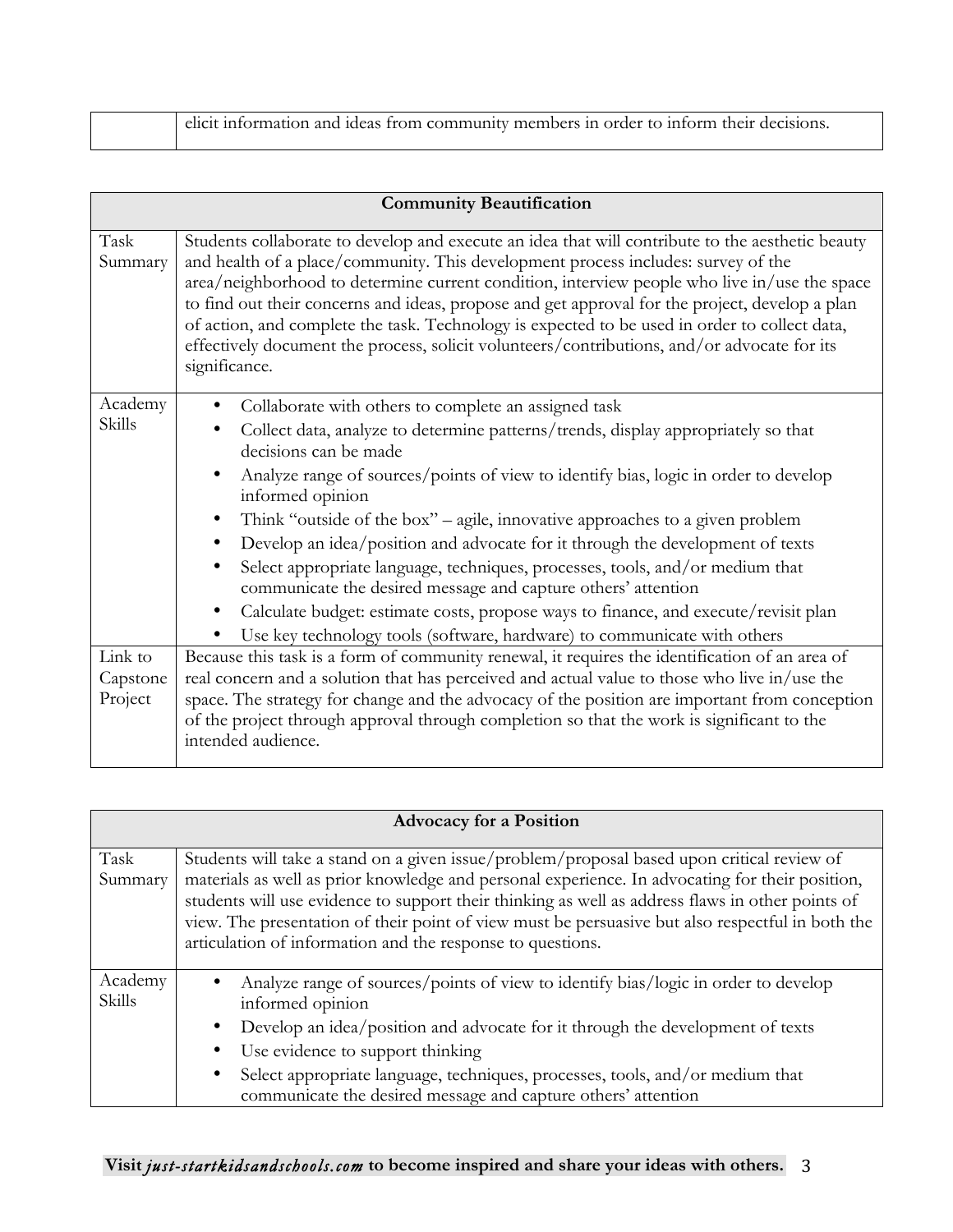| elicit information and ideas from community members in order to inform their decisions. |  |  |  |
|-----------------------------------------------------------------------------------------|--|--|--|
|                                                                                         |  |  |  |

|                                | <b>Community Beautification</b>                                                                                                                                                                                                                                                                                                                                                                                                                                                                                                                                                                                                                                                                                                                                                                                 |
|--------------------------------|-----------------------------------------------------------------------------------------------------------------------------------------------------------------------------------------------------------------------------------------------------------------------------------------------------------------------------------------------------------------------------------------------------------------------------------------------------------------------------------------------------------------------------------------------------------------------------------------------------------------------------------------------------------------------------------------------------------------------------------------------------------------------------------------------------------------|
| Task<br>Summary                | Students collaborate to develop and execute an idea that will contribute to the aesthetic beauty<br>and health of a place/community. This development process includes: survey of the<br>area/neighborhood to determine current condition, interview people who live in/use the space<br>to find out their concerns and ideas, propose and get approval for the project, develop a plan<br>of action, and complete the task. Technology is expected to be used in order to collect data,<br>effectively document the process, solicit volunteers/contributions, and/or advocate for its<br>significance.                                                                                                                                                                                                        |
| Academy<br>Skills              | Collaborate with others to complete an assigned task<br>Collect data, analyze to determine patterns/trends, display appropriately so that<br>decisions can be made<br>Analyze range of sources/points of view to identify bias, logic in order to develop<br>informed opinion<br>Think "outside of the box" – agile, innovative approaches to a given problem<br>٠<br>Develop an idea/position and advocate for it through the development of texts<br>$\bullet$<br>Select appropriate language, techniques, processes, tools, and/or medium that<br>$\bullet$<br>communicate the desired message and capture others' attention<br>Calculate budget: estimate costs, propose ways to finance, and execute/revisit plan<br>$\bullet$<br>Use key technology tools (software, hardware) to communicate with others |
| Link to<br>Capstone<br>Project | Because this task is a form of community renewal, it requires the identification of an area of<br>real concern and a solution that has perceived and actual value to those who live in/use the<br>space. The strategy for change and the advocacy of the position are important from conception<br>of the project through approval through completion so that the work is significant to the<br>intended audience.                                                                                                                                                                                                                                                                                                                                                                                              |

|                   | <b>Advocacy for a Position</b>                                                                                                                                                                                                                                                                                                                                                                                                                                      |
|-------------------|---------------------------------------------------------------------------------------------------------------------------------------------------------------------------------------------------------------------------------------------------------------------------------------------------------------------------------------------------------------------------------------------------------------------------------------------------------------------|
| Task<br>Summary   | Students will take a stand on a given issue/problem/proposal based upon critical review of<br>materials as well as prior knowledge and personal experience. In advocating for their position,<br>students will use evidence to support their thinking as well as address flaws in other points of<br>view. The presentation of their point of view must be persuasive but also respectful in both the<br>articulation of information and the response to questions. |
| Academy<br>Skills | Analyze range of sources/points of view to identify bias/logic in order to develop<br>informed opinion<br>Develop an idea/position and advocate for it through the development of texts<br>٠<br>Use evidence to support thinking<br>Select appropriate language, techniques, processes, tools, and/or medium that<br>$\bullet$<br>communicate the desired message and capture others' attention                                                                     |